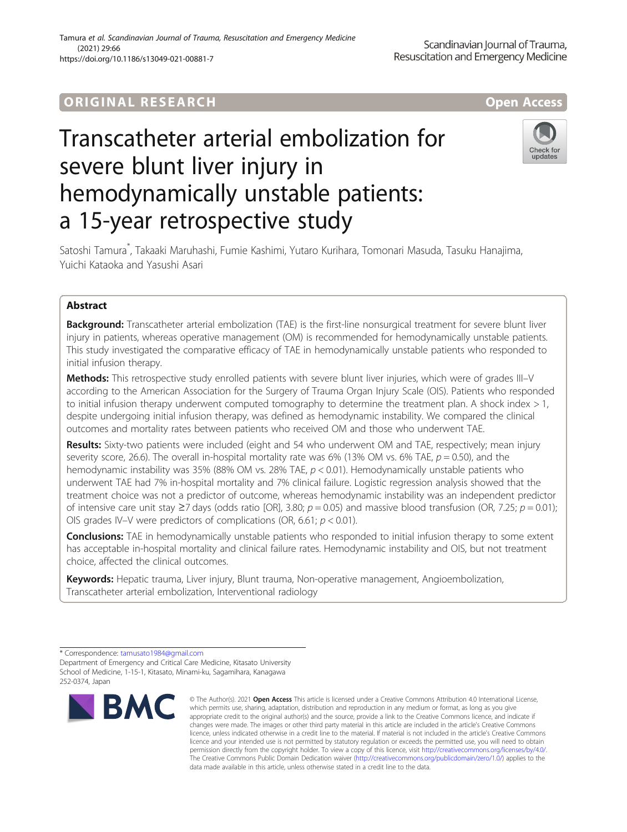# ORIGINA L R E S EA RCH Open Access



# Transcatheter arterial embolization for severe blunt liver injury in hemodynamically unstable patients: a 15-year retrospective study



Satoshi Tamura\* , Takaaki Maruhashi, Fumie Kashimi, Yutaro Kurihara, Tomonari Masuda, Tasuku Hanajima, Yuichi Kataoka and Yasushi Asari

# Abstract

**Background:** Transcatheter arterial embolization (TAE) is the first-line nonsurgical treatment for severe blunt liver injury in patients, whereas operative management (OM) is recommended for hemodynamically unstable patients. This study investigated the comparative efficacy of TAE in hemodynamically unstable patients who responded to initial infusion therapy.

Methods: This retrospective study enrolled patients with severe blunt liver injuries, which were of grades III-V according to the American Association for the Surgery of Trauma Organ Injury Scale (OIS). Patients who responded to initial infusion therapy underwent computed tomography to determine the treatment plan. A shock index > 1, despite undergoing initial infusion therapy, was defined as hemodynamic instability. We compared the clinical outcomes and mortality rates between patients who received OM and those who underwent TAE.

Results: Sixty-two patients were included (eight and 54 who underwent OM and TAE, respectively; mean injury severity score, 26.6). The overall in-hospital mortality rate was 6% (13% OM vs. 6% TAE,  $p = 0.50$ ), and the hemodynamic instability was 35% (88% OM vs. 28% TAE,  $p < 0.01$ ). Hemodynamically unstable patients who underwent TAE had 7% in-hospital mortality and 7% clinical failure. Logistic regression analysis showed that the treatment choice was not a predictor of outcome, whereas hemodynamic instability was an independent predictor of intensive care unit stay  $\geq$ 7 days (odds ratio [OR], 3.80;  $p = 0.05$ ) and massive blood transfusion (OR, 7.25;  $p = 0.01$ ); OIS grades IV–V were predictors of complications (OR, 6.61;  $p < 0.01$ ).

**Conclusions:** TAE in hemodynamically unstable patients who responded to initial infusion therapy to some extent has acceptable in-hospital mortality and clinical failure rates. Hemodynamic instability and OIS, but not treatment choice, affected the clinical outcomes.

Keywords: Hepatic trauma, Liver injury, Blunt trauma, Non-operative management, Angioembolization, Transcatheter arterial embolization, Interventional radiology

<sup>\*</sup> Correspondence: [tamusato1984@gmail.com](mailto:tamusato1984@gmail.com) Department of Emergency and Critical Care Medicine, Kitasato University School of Medicine, 1-15-1, Kitasato, Minami-ku, Sagamihara, Kanagawa 252-0374, Japan



<sup>©</sup> The Author(s). 2021 Open Access This article is licensed under a Creative Commons Attribution 4.0 International License, which permits use, sharing, adaptation, distribution and reproduction in any medium or format, as long as you give appropriate credit to the original author(s) and the source, provide a link to the Creative Commons licence, and indicate if changes were made. The images or other third party material in this article are included in the article's Creative Commons licence, unless indicated otherwise in a credit line to the material. If material is not included in the article's Creative Commons licence and your intended use is not permitted by statutory regulation or exceeds the permitted use, you will need to obtain permission directly from the copyright holder. To view a copy of this licence, visit [http://creativecommons.org/licenses/by/4.0/.](http://creativecommons.org/licenses/by/4.0/) The Creative Commons Public Domain Dedication waiver [\(http://creativecommons.org/publicdomain/zero/1.0/](http://creativecommons.org/publicdomain/zero/1.0/)) applies to the data made available in this article, unless otherwise stated in a credit line to the data.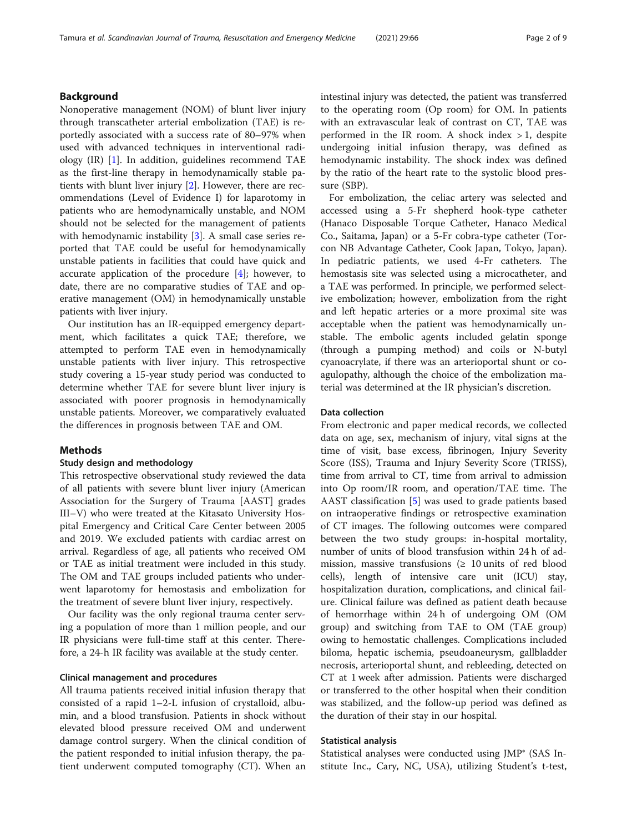# Background

Nonoperative management (NOM) of blunt liver injury through transcatheter arterial embolization (TAE) is reportedly associated with a success rate of 80–97% when used with advanced techniques in interventional radiology (IR) [[1\]](#page-7-0). In addition, guidelines recommend TAE as the first-line therapy in hemodynamically stable patients with blunt liver injury [\[2](#page-7-0)]. However, there are recommendations (Level of Evidence I) for laparotomy in patients who are hemodynamically unstable, and NOM should not be selected for the management of patients with hemodynamic instability [[3\]](#page-7-0). A small case series reported that TAE could be useful for hemodynamically unstable patients in facilities that could have quick and accurate application of the procedure  $[4]$  $[4]$ ; however, to date, there are no comparative studies of TAE and operative management (OM) in hemodynamically unstable patients with liver injury.

Our institution has an IR-equipped emergency department, which facilitates a quick TAE; therefore, we attempted to perform TAE even in hemodynamically unstable patients with liver injury. This retrospective study covering a 15-year study period was conducted to determine whether TAE for severe blunt liver injury is associated with poorer prognosis in hemodynamically unstable patients. Moreover, we comparatively evaluated the differences in prognosis between TAE and OM.

# **Methods**

## Study design and methodology

This retrospective observational study reviewed the data of all patients with severe blunt liver injury (American Association for the Surgery of Trauma [AAST] grades III–V) who were treated at the Kitasato University Hospital Emergency and Critical Care Center between 2005 and 2019. We excluded patients with cardiac arrest on arrival. Regardless of age, all patients who received OM or TAE as initial treatment were included in this study. The OM and TAE groups included patients who underwent laparotomy for hemostasis and embolization for the treatment of severe blunt liver injury, respectively.

Our facility was the only regional trauma center serving a population of more than 1 million people, and our IR physicians were full-time staff at this center. Therefore, a 24-h IR facility was available at the study center.

#### Clinical management and procedures

All trauma patients received initial infusion therapy that consisted of a rapid 1–2-L infusion of crystalloid, albumin, and a blood transfusion. Patients in shock without elevated blood pressure received OM and underwent damage control surgery. When the clinical condition of the patient responded to initial infusion therapy, the patient underwent computed tomography (CT). When an intestinal injury was detected, the patient was transferred to the operating room (Op room) for OM. In patients with an extravascular leak of contrast on CT, TAE was performed in the IR room. A shock index  $>1$ , despite undergoing initial infusion therapy, was defined as hemodynamic instability. The shock index was defined by the ratio of the heart rate to the systolic blood pressure (SBP).

For embolization, the celiac artery was selected and accessed using a 5-Fr shepherd hook-type catheter (Hanaco Disposable Torque Catheter, Hanaco Medical Co., Saitama, Japan) or a 5-Fr cobra-type catheter (Torcon NB Advantage Catheter, Cook Japan, Tokyo, Japan). In pediatric patients, we used 4-Fr catheters. The hemostasis site was selected using a microcatheter, and a TAE was performed. In principle, we performed selective embolization; however, embolization from the right and left hepatic arteries or a more proximal site was acceptable when the patient was hemodynamically unstable. The embolic agents included gelatin sponge (through a pumping method) and coils or N-butyl cyanoacrylate, if there was an arterioportal shunt or coagulopathy, although the choice of the embolization material was determined at the IR physician's discretion.

#### Data collection

From electronic and paper medical records, we collected data on age, sex, mechanism of injury, vital signs at the time of visit, base excess, fibrinogen, Injury Severity Score (ISS), Trauma and Injury Severity Score (TRISS), time from arrival to CT, time from arrival to admission into Op room/IR room, and operation/TAE time. The AAST classification [[5\]](#page-7-0) was used to grade patients based on intraoperative findings or retrospective examination of CT images. The following outcomes were compared between the two study groups: in-hospital mortality, number of units of blood transfusion within 24 h of admission, massive transfusions ( $\geq 10$  units of red blood cells), length of intensive care unit (ICU) stay, hospitalization duration, complications, and clinical failure. Clinical failure was defined as patient death because of hemorrhage within 24 h of undergoing OM (OM group) and switching from TAE to OM (TAE group) owing to hemostatic challenges. Complications included biloma, hepatic ischemia, pseudoaneurysm, gallbladder necrosis, arterioportal shunt, and rebleeding, detected on CT at 1 week after admission. Patients were discharged or transferred to the other hospital when their condition was stabilized, and the follow-up period was defined as the duration of their stay in our hospital.

# Statistical analysis

Statistical analyses were conducted using JMP® (SAS Institute Inc., Cary, NC, USA), utilizing Student's t-test,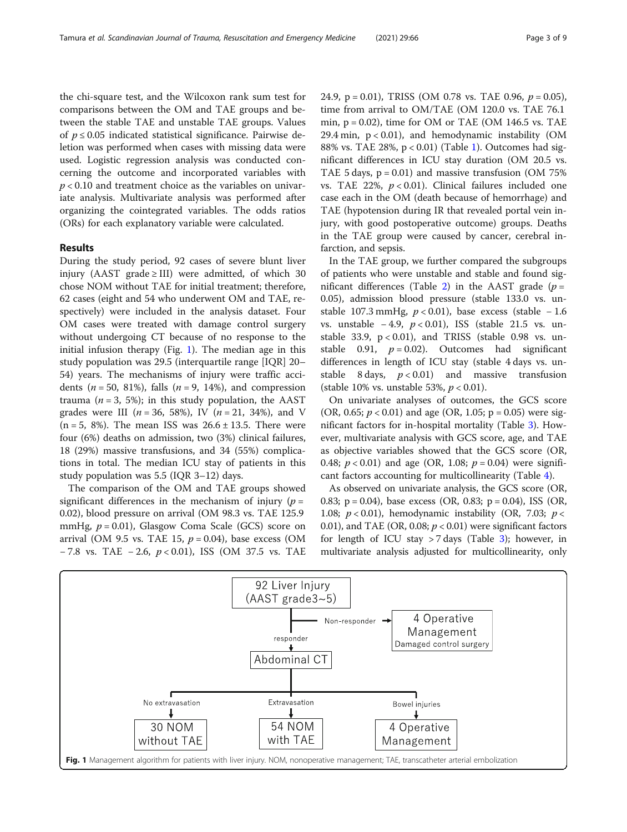the chi-square test, and the Wilcoxon rank sum test for comparisons between the OM and TAE groups and between the stable TAE and unstable TAE groups. Values of  $p \leq 0.05$  indicated statistical significance. Pairwise deletion was performed when cases with missing data were used. Logistic regression analysis was conducted concerning the outcome and incorporated variables with  $p < 0.10$  and treatment choice as the variables on univariate analysis. Multivariate analysis was performed after organizing the cointegrated variables. The odds ratios (ORs) for each explanatory variable were calculated.

## Results

During the study period, 92 cases of severe blunt liver injury (AAST grade  $\geq$  III) were admitted, of which 30 chose NOM without TAE for initial treatment; therefore, 62 cases (eight and 54 who underwent OM and TAE, respectively) were included in the analysis dataset. Four OM cases were treated with damage control surgery without undergoing CT because of no response to the initial infusion therapy (Fig. 1). The median age in this study population was 29.5 (interquartile range [IQR] 20– 54) years. The mechanisms of injury were traffic accidents ( $n = 50$ , 81%), falls ( $n = 9$ , 14%), and compression trauma ( $n = 3$ , 5%); in this study population, the AAST grades were III ( $n = 36, 58\%$ ), IV ( $n = 21, 34\%$ ), and V  $(n = 5, 8\%)$ . The mean ISS was  $26.6 \pm 13.5$ . There were four (6%) deaths on admission, two (3%) clinical failures, 18 (29%) massive transfusions, and 34 (55%) complications in total. The median ICU stay of patients in this study population was 5.5 (IQR 3–12) days.

The comparison of the OM and TAE groups showed significant differences in the mechanism of injury ( $p =$ 0.02), blood pressure on arrival (OM 98.3 vs. TAE 125.9 mmHg,  $p = 0.01$ ), Glasgow Coma Scale (GCS) score on arrival (OM 9.5 vs. TAE 15,  $p = 0.04$ ), base excess (OM − 7.8 vs. TAE − 2.6, p < 0.01), ISS (OM 37.5 vs. TAE 24.9, p = 0.01), TRISS (OM 0.78 vs. TAE 0.96,  $p = 0.05$ ), time from arrival to OM/TAE (OM 120.0 vs. TAE 76.1 min,  $p = 0.02$ ), time for OM or TAE (OM 146.5 vs. TAE 29.4 min,  $p < 0.01$ ), and hemodynamic instability (OM 88% vs. TAE 28%, p < 0.01) (Table [1\)](#page-3-0). Outcomes had significant differences in ICU stay duration (OM 20.5 vs. TAE 5 days,  $p = 0.01$ ) and massive transfusion (OM 75%) vs. TAE 22%,  $p < 0.01$ ). Clinical failures included one case each in the OM (death because of hemorrhage) and TAE (hypotension during IR that revealed portal vein injury, with good postoperative outcome) groups. Deaths in the TAE group were caused by cancer, cerebral infarction, and sepsis.

In the TAE group, we further compared the subgroups of patients who were unstable and stable and found sig-nificant differences (Table [2\)](#page-4-0) in the AAST grade ( $p =$ 0.05), admission blood pressure (stable 133.0 vs. unstable 107.3 mmHg,  $p < 0.01$ ), base excess (stable - 1.6 vs. unstable − 4.9, p < 0.01), ISS (stable 21.5 vs. unstable 33.9,  $p < 0.01$ ), and TRISS (stable 0.98 vs. unstable 0.91,  $p = 0.02$ ). Outcomes had significant differences in length of ICU stay (stable 4 days vs. unstable 8 days,  $p < 0.01$ ) and massive transfusion (stable 10% vs. unstable 53%,  $p < 0.01$ ).

On univariate analyses of outcomes, the GCS score (OR, 0.65;  $p < 0.01$ ) and age (OR, 1.05; p = 0.05) were significant factors for in-hospital mortality (Table [3\)](#page-5-0). However, multivariate analysis with GCS score, age, and TAE as objective variables showed that the GCS score (OR, 0.48;  $p < 0.01$ ) and age (OR, 1.08;  $p = 0.04$ ) were significant factors accounting for multicollinearity (Table [4\)](#page-6-0).

As observed on univariate analysis, the GCS score (OR, 0.83; p = 0.04), base excess (OR, 0.83; p = 0.04), ISS (OR, 1.08;  $p < 0.01$ ), hemodynamic instability (OR, 7.03;  $p <$ 0.01), and TAE (OR, 0.08;  $p < 0.01$ ) were significant factors for length of ICU stay > 7 days (Table [3](#page-5-0)); however, in multivariate analysis adjusted for multicollinearity, only

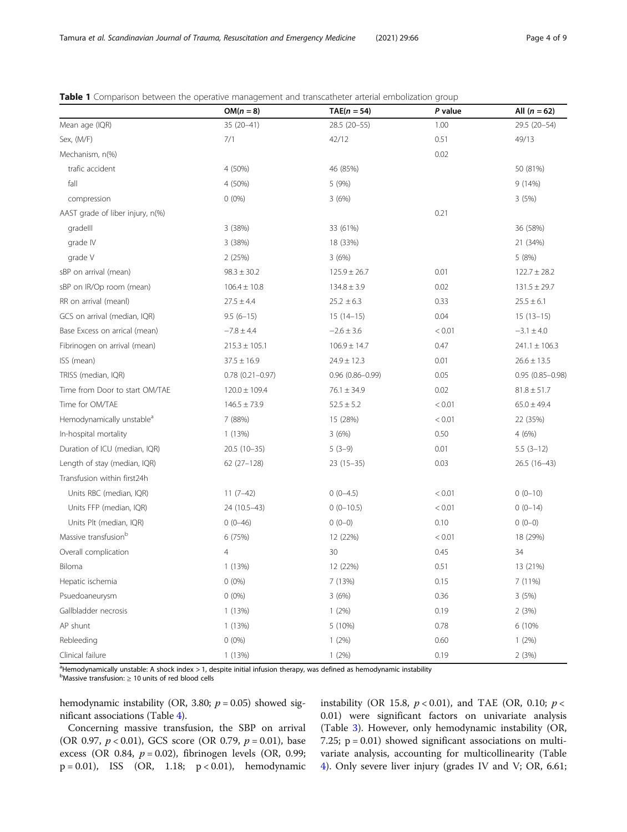|                                       | $OM(n = 8)$         | $TAE(n = 54)$       | P value | All $(n = 62)$      |
|---------------------------------------|---------------------|---------------------|---------|---------------------|
| Mean age (IQR)                        | $35(20-41)$         | 28.5 (20-55)        | 1.00    | 29.5 (20-54)        |
| Sex, (M/F)                            | 7/1                 | 42/12               | 0.51    | 49/13               |
| Mechanism, n(%)                       |                     |                     | 0.02    |                     |
| trafic accident                       | 4 (50%)             | 46 (85%)            |         | 50 (81%)            |
| fall                                  | 4 (50%)             | 5 (9%)              |         | 9(14%)              |
| compression                           | $0(0\%)$            | 3(6%)               |         | 3(5%)               |
| AAST grade of liber injury, n(%)      |                     |                     | 0.21    |                     |
| gradelll                              | 3 (38%)             | 33 (61%)            |         | 36 (58%)            |
| grade IV                              | 3 (38%)             | 18 (33%)            |         | 21 (34%)            |
| grade V                               | 2(25%)              | 3(6%)               |         | 5(8%)               |
| sBP on arrival (mean)                 | $98.3 \pm 30.2$     | $125.9 \pm 26.7$    | 0.01    | $122.7 \pm 28.2$    |
| sBP on IR/Op room (mean)              | $106.4 \pm 10.8$    | $134.8 \pm 3.9$     | 0.02    | $131.5 \pm 29.7$    |
| RR on arrival (meanl)                 | $27.5 \pm 4.4$      | $25.2 \pm 6.3$      | 0.33    | $25.5 \pm 6.1$      |
| GCS on arrival (median, IQR)          | $9.5(6-15)$         | $15(14-15)$         | 0.04    | $15(13-15)$         |
| Base Excess on arrical (mean)         | $-7.8 \pm 4.4$      | $-2.6 \pm 3.6$      | < 0.01  | $-3.1 \pm 4.0$      |
| Fibrinogen on arrival (mean)          | $215.3 \pm 105.1$   | $106.9 \pm 14.7$    | 0.47    | $241.1 \pm 106.3$   |
| ISS (mean)                            | $37.5 \pm 16.9$     | $24.9 \pm 12.3$     | 0.01    | $26.6 \pm 13.5$     |
| TRISS (median, IQR)                   | $0.78(0.21 - 0.97)$ | $0.96(0.86 - 0.99)$ | 0.05    | $0.95(0.85 - 0.98)$ |
| Time from Door to start OM/TAE        | $120.0 \pm 109.4$   | $76.1 \pm 34.9$     | 0.02    | $81.8 \pm 51.7$     |
| Time for OM/TAE                       | $146.5 \pm 73.9$    | $52.5 \pm 5.2$      | < 0.01  | $65.0 \pm 49.4$     |
| Hemodynamically unstable <sup>a</sup> | 7 (88%)             | 15 (28%)            | < 0.01  | 22 (35%)            |
| In-hospital mortality                 | 1(13%)              | 3(6%)               | 0.50    | 4(6%)               |
| Duration of ICU (median, IQR)         | $20.5(10-35)$       | $5(3-9)$            | 0.01    | $5.5(3-12)$         |
| Length of stay (median, IQR)          | $62(27-128)$        | $23(15-35)$         | 0.03    | 26.5 (16-43)        |
| Transfusion within first24h           |                     |                     |         |                     |
| Units RBC (median, IQR)               | $11(7-42)$          | $0(0-4.5)$          | < 0.01  | $0(0-10)$           |
| Units FFP (median, IQR)               | 24 (10.5-43)        | $0(0-10.5)$         | < 0.01  | $0(0-14)$           |
| Units Plt (median, IQR)               | $0(0-46)$           | $0(0-0)$            | 0.10    | $0(0-0)$            |
| Massive transfusion <sup>b</sup>      | 6 (75%)             | 12 (22%)            | < 0.01  | 18 (29%)            |
| Overall complication                  | $\overline{4}$      | 30                  | 0.45    | 34                  |
| Biloma                                | 1(13%)              | 12 (22%)            | 0.51    | 13 (21%)            |
| Hepatic ischemia                      | $0(0\%)$            | 7 (13%)             | 0.15    | 7 (11%)             |
| Psuedoaneurysm                        | $0(0\%)$            | 3(6%)               | 0.36    | 3 (5%)              |
| Gallbladder necrosis                  | 1 (13%)             | 1(2%)               | 0.19    | 2(3%)               |
| AP shunt                              | 1(13%)              | 5 (10%)             | 0.78    | 6 (10%              |
| Rebleeding                            | $0(0\%)$            | 1(2%)               | 0.60    | 1(2%)               |
| Clinical failure                      | 1(13%)              | 1(2%)               | 0.19    | 2(3%)               |

<span id="page-3-0"></span>Table 1 Comparison between the operative management and transcatheter arterial embolization group

<sup>a</sup>Hemodynamically unstable: A shock index > 1, despite initial infusion therapy, was defined as hemodynamic instability

b Massive transfusion: ≥ 10 units of red blood cells

hemodynamic instability (OR, 3.80;  $p = 0.05$ ) showed significant associations (Table [4\)](#page-6-0).

Concerning massive transfusion, the SBP on arrival (OR 0.97,  $p < 0.01$ ), GCS score (OR 0.79,  $p = 0.01$ ), base excess (OR 0.84,  $p = 0.02$ ), fibrinogen levels (OR, 0.99;  $p = 0.01$ ), ISS (OR, 1.18;  $p < 0.01$ ), hemodynamic instability (OR 15.8,  $p < 0.01$ ), and TAE (OR, 0.10;  $p <$ 0.01) were significant factors on univariate analysis (Table [3\)](#page-5-0). However, only hemodynamic instability (OR, 7.25;  $p = 0.01$ ) showed significant associations on multivariate analysis, accounting for multicollinearity (Table [4\)](#page-6-0). Only severe liver injury (grades IV and V; OR, 6.61;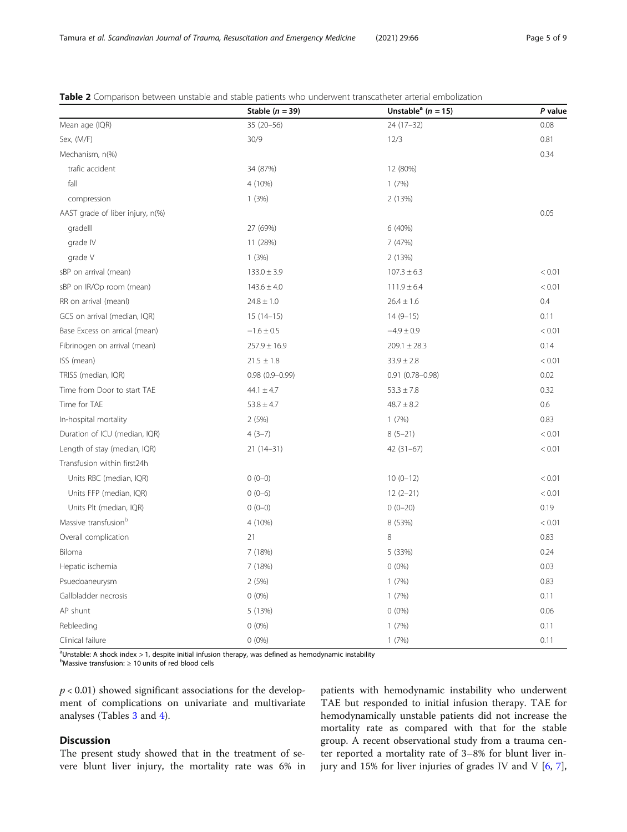|                                  | Stable $(n = 39)$  | Unstable <sup>a</sup> ( $n = 15$ ) | P value |
|----------------------------------|--------------------|------------------------------------|---------|
| Mean age (IQR)                   | 35 (20-56)         | $24(17-32)$                        | 0.08    |
| Sex, (M/F)                       | 30/9               | 12/3                               | 0.81    |
| Mechanism, n(%)                  |                    |                                    | 0.34    |
| trafic accident                  | 34 (87%)           | 12 (80%)                           |         |
| fall                             | 4 (10%)            | 1(7%)                              |         |
| compression                      | 1(3%)              | 2 (13%)                            |         |
| AAST grade of liber injury, n(%) |                    |                                    | 0.05    |
| gradelll                         | 27 (69%)           | 6 (40%)                            |         |
| grade IV                         | 11 (28%)           | 7 (47%)                            |         |
| grade V                          | 1(3%)              | 2 (13%)                            |         |
| sBP on arrival (mean)            | $133.0 \pm 3.9$    | $107.3 \pm 6.3$                    | < 0.01  |
| sBP on IR/Op room (mean)         | $143.6 \pm 4.0$    | $111.9 \pm 6.4$                    | < 0.01  |
| RR on arrival (meanl)            | $24.8 \pm 1.0$     | $26.4 \pm 1.6$                     | 0.4     |
| GCS on arrival (median, IQR)     | $15(14-15)$        | $14(9-15)$                         | 0.11    |
| Base Excess on arrical (mean)    | $-1.6 \pm 0.5$     | $-4.9 \pm 0.9$                     | < 0.01  |
| Fibrinogen on arrival (mean)     | $257.9 \pm 16.9$   | $209.1 \pm 28.3$                   | 0.14    |
| ISS (mean)                       | $21.5 \pm 1.8$     | $33.9 \pm 2.8$                     | < 0.01  |
| TRISS (median, IQR)              | $0.98(0.9 - 0.99)$ | $0.91(0.78 - 0.98)$                | 0.02    |
| Time from Door to start TAE      | $44.1 \pm 4.7$     | $53.3 \pm 7.8$                     | 0.32    |
| Time for TAE                     | $53.8 \pm 4.7$     | $48.7 \pm 8.2$                     | 0.6     |
| In-hospital mortality            | 2(5%)              | 1(7%)                              | 0.83    |
| Duration of ICU (median, IQR)    | $4(3-7)$           | $8(5-21)$                          | < 0.01  |
| Length of stay (median, IQR)     | $21(14-31)$        | $42(31-67)$                        | < 0.01  |
| Transfusion within first24h      |                    |                                    |         |
| Units RBC (median, IQR)          | $0(0-0)$           | $10(0-12)$                         | < 0.01  |
| Units FFP (median, IQR)          | $0(0-6)$           | $12(2-21)$                         | < 0.01  |
| Units Plt (median, IQR)          | $0(0-0)$           | $0(0-20)$                          | 0.19    |
| Massive transfusion <sup>b</sup> | 4 (10%)            | 8 (53%)                            | < 0.01  |
| Overall complication             | 21                 | 8                                  | 0.83    |
| Biloma                           | 7 (18%)            | 5 (33%)                            | 0.24    |
| Hepatic ischemia                 | 7 (18%)            | $0(0\%)$                           | 0.03    |
| Psuedoaneurysm                   | 2(5%)              | 1(7%)                              | 0.83    |
| Gallbladder necrosis             | $0(0\%)$           | 1(7%)                              | 0.11    |
| AP shunt                         | 5 (13%)            | $0(0\%)$                           | 0.06    |
| Rebleeding                       | $0(0\%)$           | 1(7%)                              | 0.11    |
| Clinical failure                 | $0(0\%)$           | 1(7%)                              | 0.11    |

<span id="page-4-0"></span>**Table 2** Comparison between unstable and stable patients who underwent transcatheter arterial embolization

<sup>a</sup>Unstable: A shock index > 1, despite initial infusion therapy, was defined as hemodynamic instability

b Massive transfusion: ≥ 10 units of red blood cells

 $p < 0.01$ ) showed significant associations for the development of complications on univariate and multivariate analyses (Tables [3](#page-5-0) and [4](#page-6-0)).

# **Discussion**

The present study showed that in the treatment of severe blunt liver injury, the mortality rate was 6% in patients with hemodynamic instability who underwent TAE but responded to initial infusion therapy. TAE for hemodynamically unstable patients did not increase the mortality rate as compared with that for the stable group. A recent observational study from a trauma center reported a mortality rate of 3–8% for blunt liver injury and 15% for liver injuries of grades IV and V  $[6, 7]$  $[6, 7]$  $[6, 7]$  $[6, 7]$  $[6, 7]$ ,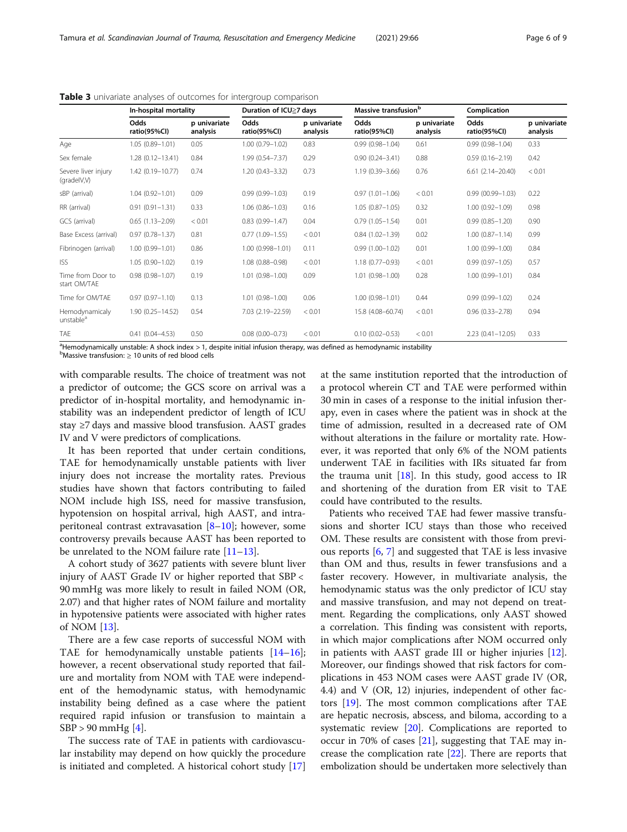|                                         | In-hospital mortality |                          | Duration of ICU≥7 days |                          | Massive transfusion <sup>b</sup> |                          | Complication         |                          |
|-----------------------------------------|-----------------------|--------------------------|------------------------|--------------------------|----------------------------------|--------------------------|----------------------|--------------------------|
|                                         | Odds<br>ratio(95%Cl)  | p univariate<br>analysis | Odds<br>ratio(95%Cl)   | p univariate<br>analysis | Odds<br>ratio(95%Cl)             | p univariate<br>analysis | Odds<br>ratio(95%Cl) | p univariate<br>analysis |
| Age                                     | $1.05(0.89 - 1.01)$   | 0.05                     | $1.00(0.79 - 1.02)$    | 0.83                     | $0.99(0.98 - 1.04)$              | 0.61                     | $0.99(0.98 - 1.04)$  | 0.33                     |
| Sex female                              | $1.28(0.12 - 13.41)$  | 0.84                     | 1.99 (0.54-7.37)       | 0.29                     | $0.90(0.24 - 3.41)$              | 0.88                     | $0.59(0.16 - 2.19)$  | 0.42                     |
| Severe liver injury<br>(gradelV,V)      | 1.42 (0.19-10.77)     | 0.74                     | $1.20(0.43 - 3.32)$    | 0.73                     | $1.19(0.39 - 3.66)$              | 0.76                     | $6.61(2.14 - 20.40)$ | < 0.01                   |
| sBP (arrival)                           | $1.04(0.92 - 1.01)$   | 0.09                     | $0.99(0.99 - 1.03)$    | 0.19                     | $0.97(1.01 - 1.06)$              | < 0.01                   | $0.99(00.99 - 1.03)$ | 0.22                     |
| RR (arrival)                            | $0.91(0.91 - 1.31)$   | 0.33                     | $1.06(0.86 - 1.03)$    | 0.16                     | $1.05(0.87 - 1.05)$              | 0.32                     | $1.00(0.92 - 1.09)$  | 0.98                     |
| GCS (arrival)                           | $0.65(1.13 - 2.09)$   | < 0.01                   | $0.83(0.99 - 1.47)$    | 0.04                     | $0.79(1.05 - 1.54)$              | 0.01                     | $0.99(0.85 - 1.20)$  | 0.90                     |
| Base Excess (arrival)                   | $0.97(0.78 - 1.37)$   | 0.81                     | $0.77(1.09 - 1.55)$    | < 0.01                   | $0.84(1.02 - 1.39)$              | 0.02                     | $1.00(0.87 - 1.14)$  | 0.99                     |
| Fibrinogen (arrival)                    | $1.00(0.99 - 1.01)$   | 0.86                     | 1.00 (0.998-1.01)      | 0.11                     | $0.99(1.00 - 1.02)$              | 0.01                     | $1.00(0.99 - 1.00)$  | 0.84                     |
| <b>ISS</b>                              | $1.05(0.90 - 1.02)$   | 0.19                     | $1.08(0.88 - 0.98)$    | < 0.01                   | $1.18(0.77 - 0.93)$              | < 0.01                   | $0.99(0.97 - 1.05)$  | 0.57                     |
| Time from Door to<br>start OM/TAE       | $0.98(0.98 - 1.07)$   | 0.19                     | $1.01(0.98 - 1.00)$    | 0.09                     | $1.01(0.98 - 1.00)$              | 0.28                     | $1.00(0.99 - 1.01)$  | 0.84                     |
| Time for OM/TAE                         | $0.97(0.97 - 1.10)$   | 0.13                     | $1.01(0.98 - 1.00)$    | 0.06                     | $1.00(0.98 - 1.01)$              | 0.44                     | $0.99(0.99 - 1.02)$  | 0.24                     |
| Hemodynamicaly<br>unstable <sup>a</sup> | $1.90(0.25 - 14.52)$  | 0.54                     | 7.03 (2.19-22.59)      | < 0.01                   | 15.8 (4.08-60.74)                | < 0.01                   | $0.96(0.33 - 2.78)$  | 0.94                     |
| TAE                                     | $0.41(0.04 - 4.53)$   | 0.50                     | $0.08(0.00 - 0.73)$    | < 0.01                   | $0.10(0.02 - 0.53)$              | < 0.01                   | $2.23(0.41 - 12.05)$ | 0.33                     |

<span id="page-5-0"></span>Table 3 univariate analyses of outcomes for intergroup comparison

<sup>a</sup> Hemodynamically unstable: A shock index > 1, despite initial infusion therapy, was defined as hemodynamic instability

b Massive transfusion: ≥ 10 units of red blood cells

with comparable results. The choice of treatment was not a predictor of outcome; the GCS score on arrival was a predictor of in-hospital mortality, and hemodynamic instability was an independent predictor of length of ICU stay ≥7 days and massive blood transfusion. AAST grades IV and V were predictors of complications.

It has been reported that under certain conditions, TAE for hemodynamically unstable patients with liver injury does not increase the mortality rates. Previous studies have shown that factors contributing to failed NOM include high ISS, need for massive transfusion, hypotension on hospital arrival, high AAST, and intraperitoneal contrast extravasation  $[8-10]$  $[8-10]$  $[8-10]$ ; however, some controversy prevails because AAST has been reported to be unrelated to the NOM failure rate  $[11–13]$  $[11–13]$  $[11–13]$ .

A cohort study of 3627 patients with severe blunt liver injury of AAST Grade IV or higher reported that SBP < 90 mmHg was more likely to result in failed NOM (OR, 2.07) and that higher rates of NOM failure and mortality in hypotensive patients were associated with higher rates of NOM [[13\]](#page-8-0).

There are a few case reports of successful NOM with TAE for hemodynamically unstable patients [[14](#page-8-0)–[16](#page-8-0)]; however, a recent observational study reported that failure and mortality from NOM with TAE were independent of the hemodynamic status, with hemodynamic instability being defined as a case where the patient required rapid infusion or transfusion to maintain a  $SBP > 90$  mmHg  $[4]$  $[4]$ .

The success rate of TAE in patients with cardiovascular instability may depend on how quickly the procedure is initiated and completed. A historical cohort study [[17](#page-8-0)] at the same institution reported that the introduction of a protocol wherein CT and TAE were performed within 30 min in cases of a response to the initial infusion therapy, even in cases where the patient was in shock at the time of admission, resulted in a decreased rate of OM without alterations in the failure or mortality rate. However, it was reported that only 6% of the NOM patients underwent TAE in facilities with IRs situated far from the trauma unit  $[18]$  $[18]$ . In this study, good access to IR and shortening of the duration from ER visit to TAE could have contributed to the results.

Patients who received TAE had fewer massive transfusions and shorter ICU stays than those who received OM. These results are consistent with those from previous reports [\[6,](#page-7-0) [7](#page-8-0)] and suggested that TAE is less invasive than OM and thus, results in fewer transfusions and a faster recovery. However, in multivariate analysis, the hemodynamic status was the only predictor of ICU stay and massive transfusion, and may not depend on treatment. Regarding the complications, only AAST showed a correlation. This finding was consistent with reports, in which major complications after NOM occurred only in patients with AAST grade III or higher injuries [\[12](#page-8-0)]. Moreover, our findings showed that risk factors for complications in 453 NOM cases were AAST grade IV (OR, 4.4) and V (OR, 12) injuries, independent of other factors [\[19](#page-8-0)]. The most common complications after TAE are hepatic necrosis, abscess, and biloma, according to a systematic review  $[20]$  $[20]$ . Complications are reported to occur in 70% of cases [[21\]](#page-8-0), suggesting that TAE may increase the complication rate [\[22\]](#page-8-0). There are reports that embolization should be undertaken more selectively than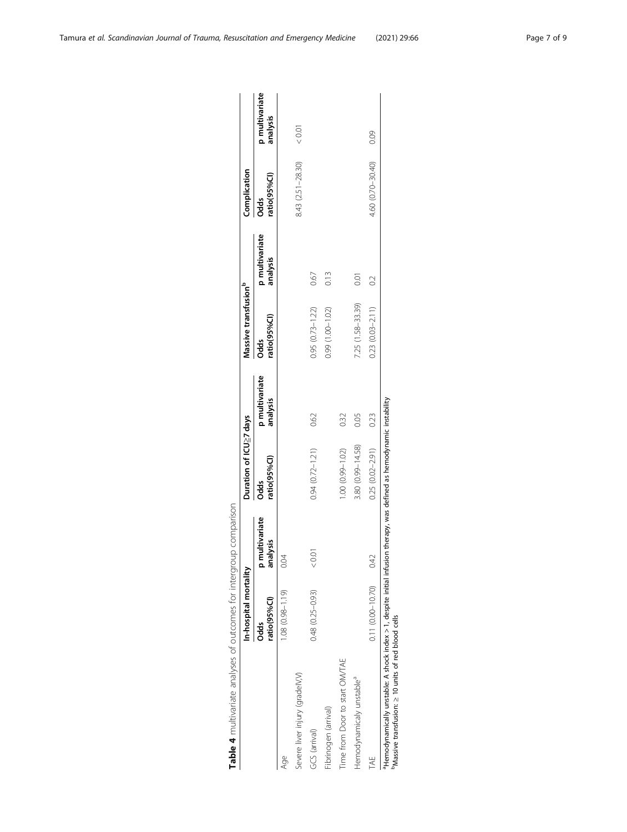|                                                                                                                                                                             | In-hospital mortality |                          | Duration of ICU≧7 days |                            | Massive transfusion <sup>b</sup> |                            | Complication                             |                            |
|-----------------------------------------------------------------------------------------------------------------------------------------------------------------------------|-----------------------|--------------------------|------------------------|----------------------------|----------------------------------|----------------------------|------------------------------------------|----------------------------|
|                                                                                                                                                                             | ratio(95%Cl)<br>ods   | multivariate<br>analysis | ratio(95%Cl)<br>Odds   | p multivariate<br>analysis | ratio(95%Cl)<br>Odds             | p multivariate<br>analysis | ratio(95% <sub>CI</sub> )<br><b>Odds</b> | p multivariate<br>analysis |
|                                                                                                                                                                             | $(61.1 - 86(0.38)$    | 0.04                     |                        |                            |                                  |                            |                                          |                            |
| Severe liver injury (gradelV,V)                                                                                                                                             |                       |                          |                        |                            |                                  |                            | 8.43 (2.51 - 28.30)                      | < 0.01                     |
| GCS (arrival)                                                                                                                                                               | $0.48(0.25 - 0.93)$   | < 0.01                   | $0.94(0.72 - 1.21)$    | 0.62                       | $0.95(0.73 - 1.22)$              | 0.67                       |                                          |                            |
| ibrinogen (arrival)                                                                                                                                                         |                       |                          |                        |                            | $0.99(1.00 - 1.02)$              | 0.13                       |                                          |                            |
| Time from Door to start OM/TAE                                                                                                                                              |                       |                          | 1.00 (0.99-1.02)       | 0.32                       |                                  |                            |                                          |                            |
| Hemodynamicaly unstable <sup>a</sup>                                                                                                                                        |                       |                          | 3.80 (0.99-14.58)      | 0.05                       | 7.25 (1.58-33.39)                | 0.01                       |                                          |                            |
|                                                                                                                                                                             | $0.11(0.00 - 10.70)$  | $\overline{0}$           | $0.25(0.02 - 2.91)$    | 0.23                       | $0.23(0.03 - 2.11)$              | 0.2                        | 4.60 (0.70-30.40)                        | 0.09                       |
| Hemodynamically unstable: A shock index > 1, despite initial infusion therapy, was defined as hemodynamic instability<br>Massive transfusion: > 10 units of red blood cells |                       |                          |                        |                            |                                  |                            |                                          |                            |

Table 4 multivariate analyses of outcomes for intergroup comparison Table 4 multivariate analyses of outcomes for intergroup comparison

<span id="page-6-0"></span>Tamura et al. Scandinavian Journal of Trauma, Resuscitation and Emergency Medicine (2021) 29:66 Page 7 of 9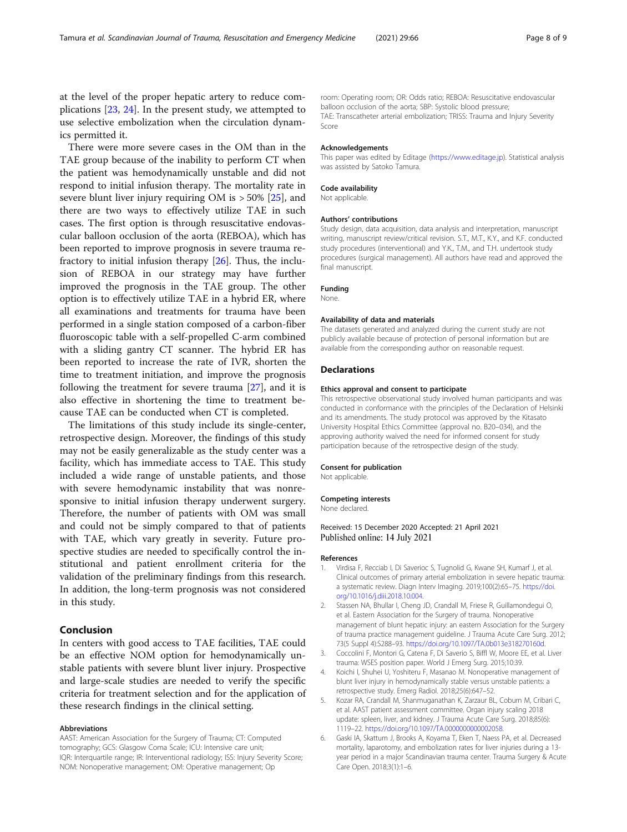<span id="page-7-0"></span>at the level of the proper hepatic artery to reduce complications [\[23,](#page-8-0) [24\]](#page-8-0). In the present study, we attempted to use selective embolization when the circulation dynamics permitted it.

There were more severe cases in the OM than in the TAE group because of the inability to perform CT when the patient was hemodynamically unstable and did not respond to initial infusion therapy. The mortality rate in severe blunt liver injury requiring OM is  $>$  50% [\[25](#page-8-0)], and there are two ways to effectively utilize TAE in such cases. The first option is through resuscitative endovascular balloon occlusion of the aorta (REBOA), which has been reported to improve prognosis in severe trauma refractory to initial infusion therapy [[26\]](#page-8-0). Thus, the inclusion of REBOA in our strategy may have further improved the prognosis in the TAE group. The other option is to effectively utilize TAE in a hybrid ER, where all examinations and treatments for trauma have been performed in a single station composed of a carbon-fiber fluoroscopic table with a self-propelled C-arm combined with a sliding gantry CT scanner. The hybrid ER has been reported to increase the rate of IVR, shorten the time to treatment initiation, and improve the prognosis following the treatment for severe trauma [[27\]](#page-8-0), and it is also effective in shortening the time to treatment because TAE can be conducted when CT is completed.

The limitations of this study include its single-center, retrospective design. Moreover, the findings of this study may not be easily generalizable as the study center was a facility, which has immediate access to TAE. This study included a wide range of unstable patients, and those with severe hemodynamic instability that was nonresponsive to initial infusion therapy underwent surgery. Therefore, the number of patients with OM was small and could not be simply compared to that of patients with TAE, which vary greatly in severity. Future prospective studies are needed to specifically control the institutional and patient enrollment criteria for the validation of the preliminary findings from this research. In addition, the long-term prognosis was not considered in this study.

# Conclusion

In centers with good access to TAE facilities, TAE could be an effective NOM option for hemodynamically unstable patients with severe blunt liver injury. Prospective and large-scale studies are needed to verify the specific criteria for treatment selection and for the application of these research findings in the clinical setting.

#### Abbreviations

AAST: American Association for the Surgery of Trauma; CT: Computed tomography; GCS: Glasgow Coma Scale; ICU: Intensive care unit; IQR: Interquartile range; IR: Interventional radiology; ISS: Injury Severity Score; NOM: Nonoperative management; OM: Operative management; Op

room: Operating room; OR: Odds ratio; REBOA: Resuscitative endovascular balloon occlusion of the aorta; SBP: Systolic blood pressure; TAE: Transcatheter arterial embolization; TRISS: Trauma and Injury Severity Score

#### Acknowledgements

This paper was edited by Editage (<https://www.editage.jp>). Statistical analysis was assisted by Satoko Tamura.

#### Code availability

Not applicable.

#### Authors' contributions

Study design, data acquisition, data analysis and interpretation, manuscript writing, manuscript review/critical revision. S.T., M.T., K.Y., and K.F. conducted study procedures (interventional) and Y.K., T.M., and T.H. undertook study procedures (surgical management). All authors have read and approved the final manuscript.

#### Funding

None.

#### Availability of data and materials

The datasets generated and analyzed during the current study are not publicly available because of protection of personal information but are available from the corresponding author on reasonable request.

#### Declarations

#### Ethics approval and consent to participate

This retrospective observational study involved human participants and was conducted in conformance with the principles of the Declaration of Helsinki and its amendments. The study protocol was approved by the Kitasato University Hospital Ethics Committee (approval no. B20–034), and the approving authority waived the need for informed consent for study participation because of the retrospective design of the study.

#### Consent for publication

Not applicable.

#### Competing interests

None declared.

#### Received: 15 December 2020 Accepted: 21 April 2021 Published online: 14 July 2021

#### References

- 1. Virdisa F, Recciab I, Di Saverioc S, Tugnolid G, Kwane SH, Kumarf J, et al. Clinical outcomes of primary arterial embolization in severe hepatic trauma: a systematic review. Diagn Interv Imaging. 2019;100(2):65–75. [https://doi.](https://doi.org/10.1016/j.diii.2018.10.004) [org/10.1016/j.diii.2018.10.004](https://doi.org/10.1016/j.diii.2018.10.004).
- 2. Stassen NA, Bhullar I, Cheng JD, Crandall M, Friese R, Guillamondegui O, et al. Eastern Association for the Surgery of trauma. Nonoperative management of blunt hepatic injury: an eastern Association for the Surgery of trauma practice management guideline. J Trauma Acute Care Surg. 2012; 73(5 Suppl 4):S288–93. <https://doi.org/10.1097/TA.0b013e318270160d>.
- 3. Coccolini F, Montori G, Catena F, Di Saverio S, Biffl W, Moore EE, et al. Liver trauma: WSES position paper. World J Emerg Surg. 2015;10:39.
- 4. Koichi I, Shuhei U, Yoshiteru F, Masanao M. Nonoperative management of blunt liver injury in hemodynamically stable versus unstable patients: a retrospective study. Emerg Radiol. 2018;25(6):647–52.
- 5. Kozar RA, Crandall M, Shanmuganathan K, Zarzaur BL, Coburn M, Cribari C, et al. AAST patient assessment committee. Organ injury scaling 2018 update: spleen, liver, and kidney. J Trauma Acute Care Surg. 2018;85(6): 1119–22. [https://doi.org/10.1097/TA.0000000000002058.](https://doi.org/10.1097/TA.0000000000002058)
- 6. Gaski IA, Skattum J, Brooks A, Koyama T, Eken T, Naess PA, et al. Decreased mortality, laparotomy, and embolization rates for liver injuries during a 13 year period in a major Scandinavian trauma center. Trauma Surgery & Acute Care Open. 2018;3(1):1–6.